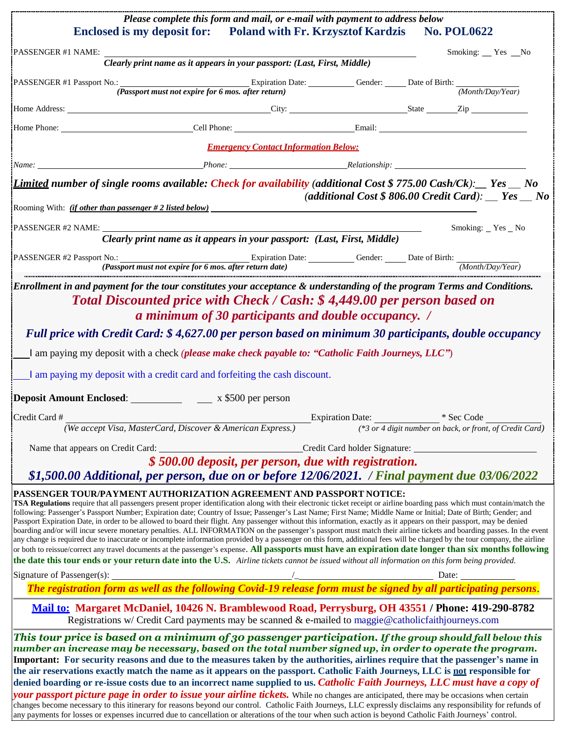|                                                                                                                                                                                                                                                                                                                                                                                                                                                                                                                                                                                                                                                                                                                                                                                                                                                                                                                                                                                                                                                                                                                                                                                                                                                                    | Please complete this form and mail, or e-mail with payment to address below<br>Enclosed is my deposit for: Poland with Fr. Krzysztof Kardzis No. POL0622                                                 |                                                      |                      |
|--------------------------------------------------------------------------------------------------------------------------------------------------------------------------------------------------------------------------------------------------------------------------------------------------------------------------------------------------------------------------------------------------------------------------------------------------------------------------------------------------------------------------------------------------------------------------------------------------------------------------------------------------------------------------------------------------------------------------------------------------------------------------------------------------------------------------------------------------------------------------------------------------------------------------------------------------------------------------------------------------------------------------------------------------------------------------------------------------------------------------------------------------------------------------------------------------------------------------------------------------------------------|----------------------------------------------------------------------------------------------------------------------------------------------------------------------------------------------------------|------------------------------------------------------|----------------------|
| PASSENGER #1 NAME:                                                                                                                                                                                                                                                                                                                                                                                                                                                                                                                                                                                                                                                                                                                                                                                                                                                                                                                                                                                                                                                                                                                                                                                                                                                 |                                                                                                                                                                                                          |                                                      | Smoking: __ Yes __No |
|                                                                                                                                                                                                                                                                                                                                                                                                                                                                                                                                                                                                                                                                                                                                                                                                                                                                                                                                                                                                                                                                                                                                                                                                                                                                    | Clearly print name as it appears in your passport: (Last, First, Middle)                                                                                                                                 |                                                      |                      |
|                                                                                                                                                                                                                                                                                                                                                                                                                                                                                                                                                                                                                                                                                                                                                                                                                                                                                                                                                                                                                                                                                                                                                                                                                                                                    |                                                                                                                                                                                                          |                                                      |                      |
|                                                                                                                                                                                                                                                                                                                                                                                                                                                                                                                                                                                                                                                                                                                                                                                                                                                                                                                                                                                                                                                                                                                                                                                                                                                                    |                                                                                                                                                                                                          |                                                      |                      |
|                                                                                                                                                                                                                                                                                                                                                                                                                                                                                                                                                                                                                                                                                                                                                                                                                                                                                                                                                                                                                                                                                                                                                                                                                                                                    |                                                                                                                                                                                                          |                                                      |                      |
|                                                                                                                                                                                                                                                                                                                                                                                                                                                                                                                                                                                                                                                                                                                                                                                                                                                                                                                                                                                                                                                                                                                                                                                                                                                                    | <b>Emergency Contact Information Below:</b>                                                                                                                                                              |                                                      |                      |
|                                                                                                                                                                                                                                                                                                                                                                                                                                                                                                                                                                                                                                                                                                                                                                                                                                                                                                                                                                                                                                                                                                                                                                                                                                                                    |                                                                                                                                                                                                          |                                                      |                      |
| <b>Limited number of single rooms available: Check for availability (additional Cost \$775.00 Cash/Ck):</b> Fes _ No                                                                                                                                                                                                                                                                                                                                                                                                                                                                                                                                                                                                                                                                                                                                                                                                                                                                                                                                                                                                                                                                                                                                               |                                                                                                                                                                                                          | (additional Cost \$806.00 Credit Card): __ Yes __ No |                      |
| Rooming With: <i>(if other than passenger # 2 listed below)</i>                                                                                                                                                                                                                                                                                                                                                                                                                                                                                                                                                                                                                                                                                                                                                                                                                                                                                                                                                                                                                                                                                                                                                                                                    |                                                                                                                                                                                                          |                                                      |                      |
| PASSENGER #2 NAME:                                                                                                                                                                                                                                                                                                                                                                                                                                                                                                                                                                                                                                                                                                                                                                                                                                                                                                                                                                                                                                                                                                                                                                                                                                                 | Clearly print name as it appears in your passport: (Last, First, Middle)                                                                                                                                 |                                                      | Smoking: $Yes$ No    |
|                                                                                                                                                                                                                                                                                                                                                                                                                                                                                                                                                                                                                                                                                                                                                                                                                                                                                                                                                                                                                                                                                                                                                                                                                                                                    |                                                                                                                                                                                                          |                                                      |                      |
| Full price with Credit Card: \$4,627.00 per person based on minimum 30 participants, double occupancy<br>I am paying my deposit with a check (please make check payable to: "Catholic Faith Journeys, LLC")                                                                                                                                                                                                                                                                                                                                                                                                                                                                                                                                                                                                                                                                                                                                                                                                                                                                                                                                                                                                                                                        | a minimum of 30 participants and double occupancy. /                                                                                                                                                     |                                                      |                      |
| I am paying my deposit with a credit card and forfeiting the cash discount.                                                                                                                                                                                                                                                                                                                                                                                                                                                                                                                                                                                                                                                                                                                                                                                                                                                                                                                                                                                                                                                                                                                                                                                        |                                                                                                                                                                                                          |                                                      |                      |
|                                                                                                                                                                                                                                                                                                                                                                                                                                                                                                                                                                                                                                                                                                                                                                                                                                                                                                                                                                                                                                                                                                                                                                                                                                                                    |                                                                                                                                                                                                          |                                                      |                      |
| Credit Card #<br>Credit Card # (We accept Visa, MasterCard, Discover & American Express.)<br>(*3 or 4 digit number on back, or front, of Credit Card)                                                                                                                                                                                                                                                                                                                                                                                                                                                                                                                                                                                                                                                                                                                                                                                                                                                                                                                                                                                                                                                                                                              |                                                                                                                                                                                                          |                                                      |                      |
|                                                                                                                                                                                                                                                                                                                                                                                                                                                                                                                                                                                                                                                                                                                                                                                                                                                                                                                                                                                                                                                                                                                                                                                                                                                                    |                                                                                                                                                                                                          |                                                      |                      |
|                                                                                                                                                                                                                                                                                                                                                                                                                                                                                                                                                                                                                                                                                                                                                                                                                                                                                                                                                                                                                                                                                                                                                                                                                                                                    | \$500.00 deposit, per person, due with registration.<br>\$1,500.00 Additional, per person, due on or before 12/06/2021. / Final payment due 03/06/2022                                                   |                                                      |                      |
| PASSENGER TOUR/PAYMENT AUTHORIZATION AGREEMENT AND PASSPORT NOTICE:<br>TSA Regulations require that all passengers present proper identification along with their electronic ticket receipt or airline boarding pass which must contain/match the<br>following: Passenger's Passport Number; Expiration date; Country of Issue; Passenger's Last Name; First Name; Middle Name or Initial; Date of Birth; Gender; and<br>Passport Expiration Date, in order to be allowed to board their flight. Any passenger without this information, exactly as it appears on their passport, may be denied<br>boarding and/or will incur severe monetary penalties. ALL INFORMATION on the passenger's passport must match their airline tickets and boarding passes. In the event<br>any change is required due to inaccurate or incomplete information provided by a passenger on this form, additional fees will be charged by the tour company, the airline<br>or both to reissue/correct any travel documents at the passenger's expense. All passports must have an expiration date longer than six months following<br>the date this tour ends or your return date into the U.S. Airline tickets cannot be issued without all information on this form being provided. |                                                                                                                                                                                                          |                                                      |                      |
| Signature of Passenger(s): $\frac{1}{\sqrt{1}}$ Date: $\frac{1}{\sqrt{1}}$ Date: $\frac{1}{\sqrt{1}}$ Date: $\frac{1}{\sqrt{1}}$ Date: $\frac{1}{\sqrt{1}}$ Date: $\frac{1}{\sqrt{1}}$ Date: $\frac{1}{\sqrt{1}}$ Date: $\frac{1}{\sqrt{1}}$ Date: $\frac{1}{\sqrt{1}}$ Date: $\frac{1}{\sqrt{1}}$ Date: $\frac{$                                                                                                                                                                                                                                                                                                                                                                                                                                                                                                                                                                                                                                                                                                                                                                                                                                                                                                                                                  |                                                                                                                                                                                                          |                                                      |                      |
|                                                                                                                                                                                                                                                                                                                                                                                                                                                                                                                                                                                                                                                                                                                                                                                                                                                                                                                                                                                                                                                                                                                                                                                                                                                                    |                                                                                                                                                                                                          |                                                      |                      |
|                                                                                                                                                                                                                                                                                                                                                                                                                                                                                                                                                                                                                                                                                                                                                                                                                                                                                                                                                                                                                                                                                                                                                                                                                                                                    | Mail to: Margaret McDaniel, 10426 N. Bramblewood Road, Perrysburg, OH 43551 / Phone: 419-290-8782<br>Registrations w/ Credit Card payments may be scanned & e-mailed to maggie@catholicfaithjourneys.com |                                                      |                      |
| This tour price is based on a minimum of 30 passenger participation. If the group should fall below this<br>number an increase may be necessary, based on the total number signed up, in order to operate the program.<br>Important: For security reasons and due to the measures taken by the authorities, airlines require that the passenger's name in<br>the air reservations exactly match the name as it appears on the passport. Catholic Faith Journeys, LLC is not responsible for<br>denied boarding or re-issue costs due to an incorrect name supplied to us. Catholic Faith Journeys, LLC must have a copy of<br>your passport picture page in order to issue your airline tickets. While no changes are anticipated, there may be occasions when certain<br>changes become necessary to this itinerary for reasons beyond our control. Catholic Faith Journeys, LLC expressly disclaims any responsibility for refunds of<br>any payments for losses or expenses incurred due to cancellation or alterations of the tour when such action is beyond Catholic Faith Journeys' control.                                                                                                                                                                |                                                                                                                                                                                                          |                                                      |                      |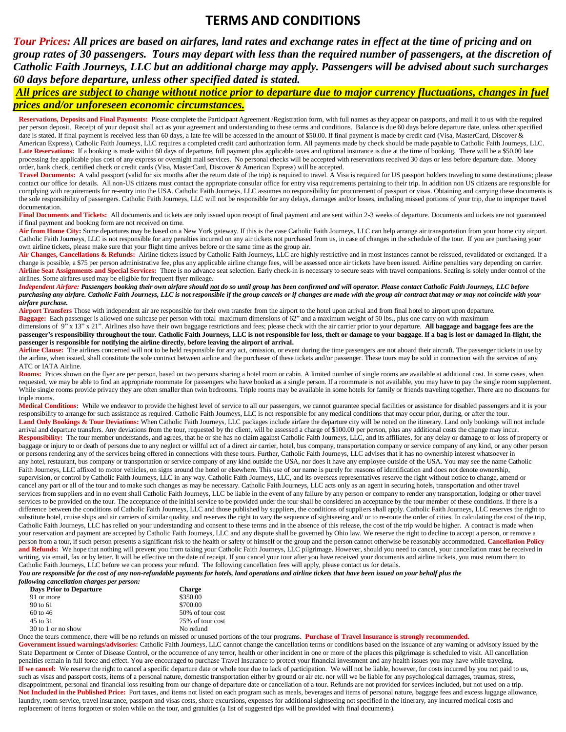#### **TERMS AND CONDITIONS**

*Tour Prices: All prices are based on airfares, land rates and exchange rates in effect at the time of pricing and on group rates of 30 passengers. Tours may depart with less than the required number of passengers, at the discretion of Catholic Faith Journeys, LLC but an additional charge may apply. Passengers will be advised about such surcharges 60 days before departure, unless other specified dated is stated.*

#### *All prices are subject to change without notice prior to departure due to major currency fluctuations, changes in fuel prices and/or unforeseen economic circumstances.*

**Reservations, Deposits and Final Payments:** Please complete the Participant Agreement /Registration form, with full names as they appear on passports, and mail it to us with the required per person deposit. Receipt of your deposit shall act as your agreement and understanding to these terms and conditions. Balance is due 60 days before departure date, unless other specified date is stated. If final payment is received less than 60 days, a late fee will be accessed in the amount of \$50.00. If final payment is made by credit card (Visa, MasterCard, Discover & American Express), Catholic Faith Journeys, LLC requires a completed credit card authorization form. All payments made by check should be made payable to Catholic Faith Journeys, LLC. Late Reservations: If a booking is made within 60 days of departure, full payment plus applicable taxes and optional insurance is due at the time of booking. There will be a \$50.00 late processing fee applicable plus cost of any express or overnight mail services. No personal checks will be accepted with reservations received 30 days or less before departure date. Money order, bank check, certified check or credit cards (Visa, MasterCard, Discover & American Express) will be accepted.

Travel Documents: A valid passport (valid for six months after the return date of the trip) is required to travel. A Visa is required for US passport holders traveling to some destinations; please contact our office for details. All non-US citizens must contact the appropriate consular office for entry visa requirements pertaining to their trip. In addition non US citizens are responsible for complying with requirements for re-entry into the USA. Catholic Faith Journeys, LLC assumes no responsibility for procurement of passport or visas. Obtaining and carrying these documents is the sole responsibility of passengers. Catholic Faith Journeys, LLC will not be responsible for any delays, damages and/or losses, including missed portions of your trip, due to improper travel documentation.

Final Documents and Tickets: All documents and tickets are only issued upon receipt of final payment and are sent within 2-3 weeks of departure. Documents and tickets are not guaranteed if final payment and booking form are not received on time.

**Air from Home City:** Some departures may be based on a New York gateway. If this is the case Catholic Faith Journeys, LLC can help arrange air transportation from your home city airport. Catholic Faith Journeys, LLC is not responsible for any penalties incurred on any air tickets not purchased from us, in case of changes in the schedule of the tour. If you are purchasing your own airline tickets, please make sure that your flight time arrives before or the same time as the group air.

Air Changes, Cancellations & Refunds: Airline tickets issued by Catholic Faith Journeys, LLC are highly restrictive and in most instances cannot be reissued, revalidated or exchanged. If a change is possible, a \$75 per person administrative fee, plus any applicable airline change fees, will be assessed once air tickets have been issued. Airline penalties vary depending on carrier. **Airline Seat Assignments and Special Services:** There is no advance seat selection. Early check-in is necessary to secure seats with travel companions. Seating is solely under control of the airlines. Some airfares used may be eligible for frequent flyer mileage.

Independent Airfare: Passengers booking their own airfare should not do so until group has been confirmed and will operator. Please contact Catholic Faith Journeys, LLC before purchasing any airfare. Catholic Faith Journeys, LLC is not responsible if the group cancels or if changes are made with the group air contract that may or may not coincide with your *airfare purchase.*

**Airport Transfers** Those with independent air are responsible for their own transfer from the airport to the hotel upon arrival and from final hotel to airport upon departure. **Baggage:** Each passenger is allowed one suitcase per person with total maximum dimensions of 62" and a maximum weight of 50 lbs., plus one carry on with maximum dimensions of 9" x 13" x 21". Airlines also have their own baggage restrictions and fees; please check with the air carrier prior to your departure. **All baggage and baggage fees are the** 

passenger's responsibility throughout the tour. Catholic Faith Journeys, LLC is not responsible for loss, theft or damage to your baggage. If a bag is lost or damaged In-flight, the **passenger is responsible for notifying the airline directly, before leaving the airport of arrival.**

Airline Clause: The airlines concerned will not to be held responsible for any act, omission, or event during the time passengers are not aboard their aircraft. The passenger tickets in use by the airline, when issued, shall constitute the sole contract between airline and the purchaser of these tickets and/or passenger. These tours may be sold in connection with the services of any ATC or IATA Airline.

Rooms: Prices shown on the flyer are per person, based on two persons sharing a hotel room or cabin. A limited number of single rooms are available at additional cost. In some cases, when requested, we may be able to find an appropriate roommate for passengers who have booked as a single person. If a roommate is not available, you may have to pay the single room supplement. While single rooms provide privacy they are often smaller than twin bedrooms. Triple rooms may be available in some hotels for family or friends traveling together. There are no discounts for triple rooms.

**Medical Conditions:** While we endeavor to provide the highest level of service to all our passengers, we cannot guarantee special facilities or assistance for disabled passengers and it is your responsibility to arrange for such assistance as required. Catholic Faith Journeys, LLC is not responsible for any medical conditions that may occur prior, during, or after the tour. Land Only Bookings & Tour Deviations: When Catholic Faith Journeys, LLC packages include airfare the departure city will be noted on the itinerary. Land only bookings will not include arrival and departure transfers. Any deviations from the tour, requested by the client, will be assessed a charge of \$100.00 per person, plus any additional costs the change may incur. **Responsibility:** The tour member understands, and agrees, that he or she has no claim against Catholic Faith Journeys, LLC, and its affiliates, for any delay or damage to or loss of property or baggage or injury to or death of persons due to any neglect or willful act of a direct air carrier, hotel, bus company, transportation company or service company of any kind, or any other person or persons rendering any of the services being offered in connections with these tours. Further, Catholic Faith Journeys, LLC advises that it has no ownership interest whatsoever in any hotel, restaurant, bus company or transportation or service company of any kind outside the USA, nor does it have any employee outside of the USA. You may see the name Catholic Faith Journeys, LLC affixed to motor vehicles, on signs around the hotel or elsewhere. This use of our name is purely for reasons of identification and does not denote ownership, supervision, or control by Catholic Faith Journeys, LLC in any way. Catholic Faith Journeys, LLC, and its overseas representatives reserve the right without notice to change, amend or cancel any part or all of the tour and to make such changes as may be necessary. Catholic Faith Journeys, LLC acts only as an agent in securing hotels, transportation and other travel services from suppliers and in no event shall Catholic Faith Journeys, LLC be liable in the event of any failure by any person or company to render any transportation, lodging or other travel services to be provided on the tour. The acceptance of the initial service to be provided under the tour shall be considered an acceptance by the tour member of these conditions. If there is a difference between the conditions of Catholic Faith Journeys, LLC and those published by suppliers, the conditions of suppliers shall apply. Catholic Faith Journeys, LLC reserves the right to substitute hotel, cruise ships and air carriers of similar quality, and reserves the right to vary the sequence of sightseeing and/ or to re-route the order of cities. In calculating the cost of the trip, Catholic Faith Journeys, LLC has relied on your understanding and consent to these terms and in the absence of this release, the cost of the trip would be higher. A contract is made when your reservation and payment are accepted by Catholic Faith Journeys, LLC and any dispute shall be governed by Ohio law. We reserve the right to decline to accept a person, or remove a person from a tour, if such person presents a significant risk to the health or safety of himself or the group and the person cannot otherwise be reasonably accommodated. **Cancellation Policy** and Refunds: We hope that nothing will prevent you from taking your Catholic Faith Journeys, LLC pilgrimage. However, should you need to cancel, your cancellation must be received in writing, via email, fax or by letter. It will be effective on the date of receipt. If you cancel your tour after you have received your documents and airline tickets, you must return them to Catholic Faith Journeys, LLC before we can process your refund. The following cancellation fees will apply, please contact us for details.

You are responsible for the cost of any non-refundable payments for hotels, land operations and airline tickets that have been issued on your behalf plus the *following cancellation charges per person:*

| ютте сипсениноп спигесь рег регьоп. |                  |  |
|-------------------------------------|------------------|--|
| <b>Days Prior to Departure</b>      | <b>Charge</b>    |  |
| 91 or more                          | \$350.00         |  |
| 90 to 61                            | \$700.00         |  |
| $60 \text{ to } 46$                 | 50% of tour cost |  |
| 45 to 31                            | 75% of tour cost |  |
| 30 to 1 or no show                  | No refund        |  |

Once the tours commence, there will be no refunds on missed or unused portions of the tour programs. **Purchase of Travel Insurance is strongly recommended.** Government issued warnings/advisories: Catholic Faith Journeys, LLC cannot change the cancellation terms or conditions based on the issuance of any warning or advisory issued by the State Department or Center of Disease Control, or the occurrence of any terror, health or other incident in one or more of the places this pilgrimage is scheduled to visit. All cancellation penalties remain in full force and effect. You are encouraged to purchase Travel Insurance to protect your financial investment and any health issues you may have while traveling. If we cancel: We reserve the right to cancel a specific departure date or whole tour due to lack of participation. We will not be liable, however, for costs incurred by you not paid to us, such as visas and passport costs, items of a personal nature, domestic transportation either by ground or air etc. nor will we be liable for any psychological damages, traumas, stress, disappointment, personal and financial loss resulting from our change of departure date or cancellation of a tour. Refunds are not provided for services included, but not used on a trip. Not Included in the Published Price: Port taxes, and items not listed on each program such as meals, beverages and items of personal nature, baggage fees and excess luggage allowance, laundry, room service, travel insurance, passport and visas costs, shore excursions, expenses for additional sightseeing not specified in the itinerary, any incurred medical costs and replacement of items forgotten or stolen while on the tour, and gratuities (a list of suggested tips will be provided with final documents).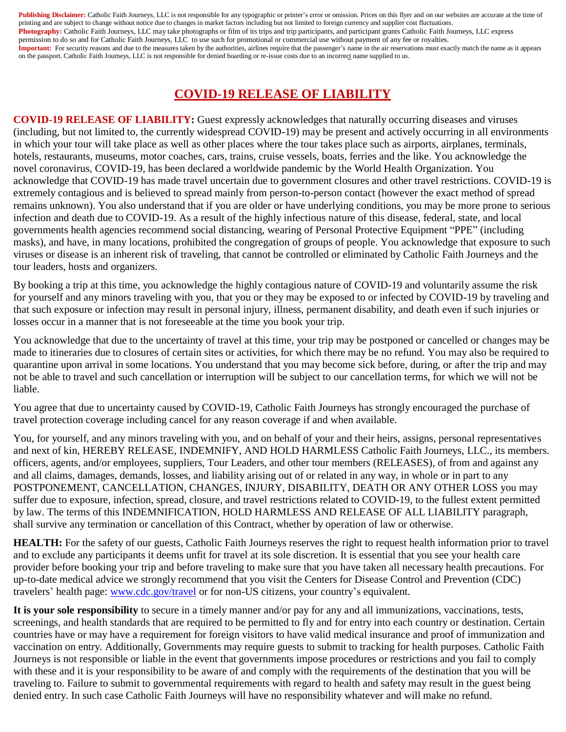Publishing Disclaimer: Catholic Faith Journeys, LLC is not responsible for any typographic or printer's error or omission. Prices on this flyer and on our websites are accurate at the time of printing and are subject to change without notice due to changes in market factors including but not limited to foreign currency and supplier cost fluctuations. Photography: Catholic Faith Journeys, LLC may take photographs or film of its trips and trip participants, and participant grants Catholic Faith Journeys, LLC express permission to do so and for Catholic Faith Journeys, LLC to use such for promotional or commercial use without payment of any fee or royalties. **Important:** For security reasons and due to the measures taken by the authorities, airlines require that the passenger's name in the air reservations must exactly match the name as it appears on the passport. Catholic Faith Journeys, LLC is not responsible for denied boarding or re-issue costs due to an incorrect name supplied to us.

### **COVID-19 RELEASE OF LIABILITY**

**COVID-19 RELEASE OF LIABILITY:** Guest expressly acknowledges that naturally occurring diseases and viruses (including, but not limited to, the currently widespread COVID-19) may be present and actively occurring in all environments in which your tour will take place as well as other places where the tour takes place such as airports, airplanes, terminals, hotels, restaurants, museums, motor coaches, cars, trains, cruise vessels, boats, ferries and the like. You acknowledge the novel coronavirus, COVID-19, has been declared a worldwide pandemic by the World Health Organization. You acknowledge that COVID-19 has made travel uncertain due to government closures and other travel restrictions. COVID-19 is extremely contagious and is believed to spread mainly from person-to-person contact (however the exact method of spread remains unknown). You also understand that if you are older or have underlying conditions, you may be more prone to serious infection and death due to COVID-19. As a result of the highly infectious nature of this disease, federal, state, and local governments health agencies recommend social distancing, wearing of Personal Protective Equipment "PPE" (including masks), and have, in many locations, prohibited the congregation of groups of people. You acknowledge that exposure to such viruses or disease is an inherent risk of traveling, that cannot be controlled or eliminated by Catholic Faith Journeys and the tour leaders, hosts and organizers.

By booking a trip at this time, you acknowledge the highly contagious nature of COVID-19 and voluntarily assume the risk for yourself and any minors traveling with you, that you or they may be exposed to or infected by COVID-19 by traveling and that such exposure or infection may result in personal injury, illness, permanent disability, and death even if such injuries or losses occur in a manner that is not foreseeable at the time you book your trip.

You acknowledge that due to the uncertainty of travel at this time, your trip may be postponed or cancelled or changes may be made to itineraries due to closures of certain sites or activities, for which there may be no refund. You may also be required to quarantine upon arrival in some locations. You understand that you may become sick before, during, or after the trip and may not be able to travel and such cancellation or interruption will be subject to our cancellation terms, for which we will not be liable.

You agree that due to uncertainty caused by COVID-19, Catholic Faith Journeys has strongly encouraged the purchase of travel protection coverage including cancel for any reason coverage if and when available.

You, for yourself, and any minors traveling with you, and on behalf of your and their heirs, assigns, personal representatives and next of kin, HEREBY RELEASE, INDEMNIFY, AND HOLD HARMLESS Catholic Faith Journeys, LLC., its members. officers, agents, and/or employees, suppliers, Tour Leaders, and other tour members (RELEASES), of from and against any and all claims, damages, demands, losses, and liability arising out of or related in any way, in whole or in part to any POSTPONEMENT, CANCELLATION, CHANGES, INJURY, DISABILITY, DEATH OR ANY OTHER LOSS you may suffer due to exposure, infection, spread, closure, and travel restrictions related to COVID-19, to the fullest extent permitted by law. The terms of this INDEMNIFICATION, HOLD HARMLESS AND RELEASE OF ALL LIABILITY paragraph, shall survive any termination or cancellation of this Contract, whether by operation of law or otherwise.

**HEALTH:** For the safety of our guests, Catholic Faith Journeys reserves the right to request health information prior to travel and to exclude any participants it deems unfit for travel at its sole discretion. It is essential that you see your health care provider before booking your trip and before traveling to make sure that you have taken all necessary health precautions. For up-to-date medical advice we strongly recommend that you visit the Centers for Disease Control and Prevention (CDC) travelers' health page: [www.cdc.gov/travel](https://www.cdc.gov/travel) or for non-US citizens, your country's equivalent.

**It is your sole responsibility** to secure in a timely manner and/or pay for any and all immunizations, vaccinations, tests, screenings, and health standards that are required to be permitted to fly and for entry into each country or destination. Certain countries have or may have a requirement for foreign visitors to have valid medical insurance and proof of immunization and vaccination on entry. Additionally, Governments may require guests to submit to tracking for health purposes. Catholic Faith Journeys is not responsible or liable in the event that governments impose procedures or restrictions and you fail to comply with these and it is your responsibility to be aware of and comply with the requirements of the destination that you will be traveling to. Failure to submit to governmental requirements with regard to health and safety may result in the guest being denied entry. In such case Catholic Faith Journeys will have no responsibility whatever and will make no refund.